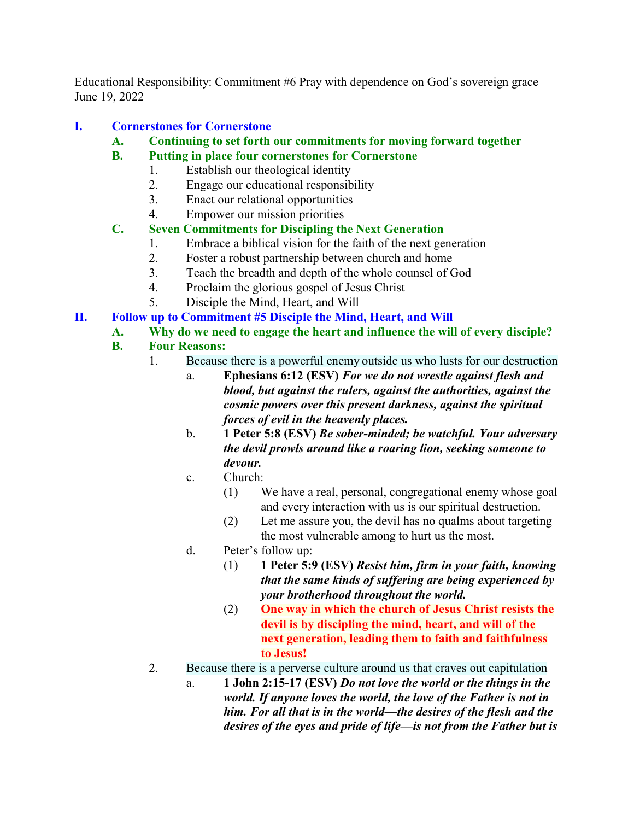Educational Responsibility: Commitment #6 Pray with dependence on God's sovereign grace June 19, 2022

## **I. Cornerstones for Cornerstone**

- **A. Continuing to set forth our commitments for moving forward together**
- **B. Putting in place four cornerstones for Cornerstone**
	- 1. Establish our theological identity
	- 2. Engage our educational responsibility
	- 3. Enact our relational opportunities
	- 4. Empower our mission priorities

### **C. Seven Commitments for Discipling the Next Generation**

- 1. Embrace a biblical vision for the faith of the next generation
- 2. Foster a robust partnership between church and home
- 3. Teach the breadth and depth of the whole counsel of God
- 4. Proclaim the glorious gospel of Jesus Christ
- 5. Disciple the Mind, Heart, and Will

### **II. Follow up to Commitment #5 Disciple the Mind, Heart, and Will**

# **A. Why do we need to engage the heart and influence the will of every disciple?**

### **B. Four Reasons:**

- 1. Because there is a powerful enemy outside us who lusts for our destruction
	- a. **Ephesians 6:12 (ESV)** *For we do not wrestle against flesh and blood, but against the rulers, against the authorities, against the cosmic powers over this present darkness, against the spiritual forces of evil in the heavenly places.*
	- b. **1 Peter 5:8 (ESV)** *Be sober-minded; be watchful. Your adversary the devil prowls around like a roaring lion, seeking someone to devour.*
	- c. Church:
		- (1) We have a real, personal, congregational enemy whose goal and every interaction with us is our spiritual destruction.
		- (2) Let me assure you, the devil has no qualms about targeting the most vulnerable among to hurt us the most.
	- d. Peter's follow up:
		- (1) **1 Peter 5:9 (ESV)** *Resist him, firm in your faith, knowing that the same kinds of suffering are being experienced by your brotherhood throughout the world.*
		- (2) **One way in which the church of Jesus Christ resists the devil is by discipling the mind, heart, and will of the next generation, leading them to faith and faithfulness to Jesus!**
- 2. Because there is a perverse culture around us that craves out capitulation
	- a. **1 John 2:15-17 (ESV)** *Do not love the world or the things in the world. If anyone loves the world, the love of the Father is not in him. For all that is in the world—the desires of the flesh and the desires of the eyes and pride of life—is not from the Father but is*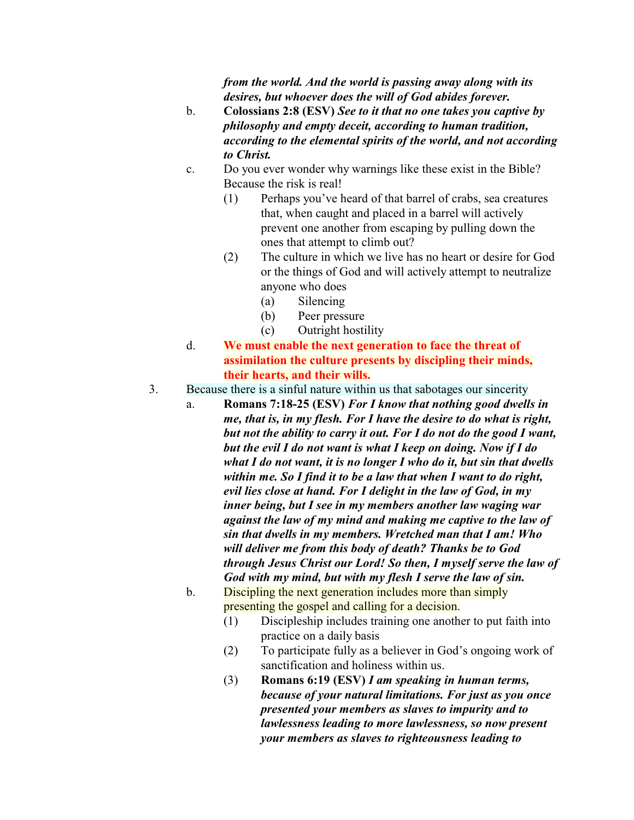*from the world. And the world is passing away along with its desires, but whoever does the will of God abides forever.*

- b. **Colossians 2:8 (ESV)** *See to it that no one takes you captive by philosophy and empty deceit, according to human tradition, according to the elemental spirits of the world, and not according to Christ.*
- c. Do you ever wonder why warnings like these exist in the Bible? Because the risk is real!
	- (1) Perhaps you've heard of that barrel of crabs, sea creatures that, when caught and placed in a barrel will actively prevent one another from escaping by pulling down the ones that attempt to climb out?
	- (2) The culture in which we live has no heart or desire for God or the things of God and will actively attempt to neutralize anyone who does
		- (a) Silencing
		- (b) Peer pressure
		- (c) Outright hostility
- d. **We must enable the next generation to face the threat of assimilation the culture presents by discipling their minds, their hearts, and their wills.**
- 3. Because there is a sinful nature within us that sabotages our sincerity
	- a. **Romans 7:18-25 (ESV)** *For I know that nothing good dwells in me, that is, in my flesh. For I have the desire to do what is right, but not the ability to carry it out. For I do not do the good I want, but the evil I do not want is what I keep on doing. Now if I do what I do not want, it is no longer I who do it, but sin that dwells within me. So I find it to be a law that when I want to do right, evil lies close at hand. For I delight in the law of God, in my inner being, but I see in my members another law waging war against the law of my mind and making me captive to the law of sin that dwells in my members. Wretched man that I am! Who will deliver me from this body of death? Thanks be to God through Jesus Christ our Lord! So then, I myself serve the law of God with my mind, but with my flesh I serve the law of sin.*
	- b. Discipling the next generation includes more than simply presenting the gospel and calling for a decision.
		- (1) Discipleship includes training one another to put faith into practice on a daily basis
		- (2) To participate fully as a believer in God's ongoing work of sanctification and holiness within us.
		- (3) **Romans 6:19 (ESV)** *I am speaking in human terms, because of your natural limitations. For just as you once presented your members as slaves to impurity and to lawlessness leading to more lawlessness, so now present your members as slaves to righteousness leading to*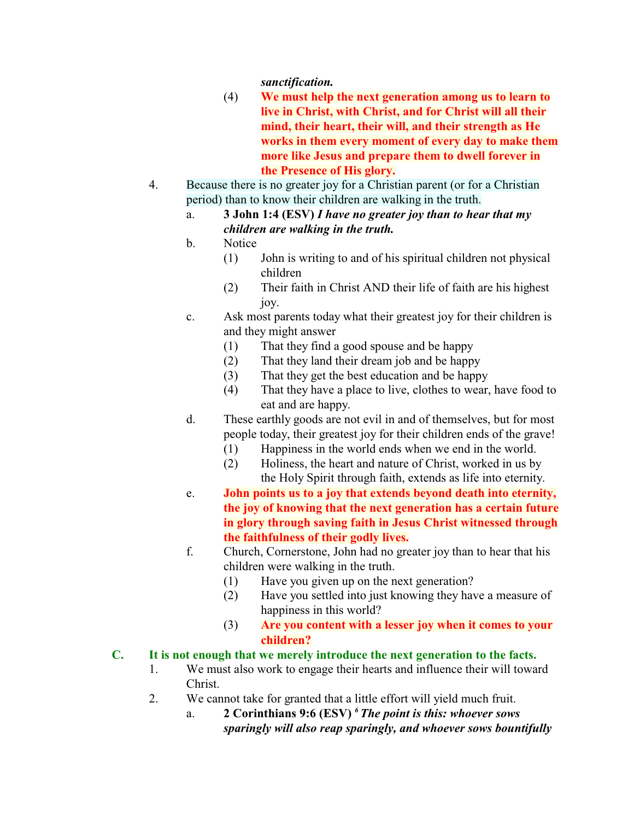*sanctification.*

- (4) **We must help the next generation among us to learn to live in Christ, with Christ, and for Christ will all their mind, their heart, their will, and their strength as He works in them every moment of every day to make them more like Jesus and prepare them to dwell forever in the Presence of His glory.**
- 4. Because there is no greater joy for a Christian parent (or for a Christian period) than to know their children are walking in the truth.
	- a. **3 John 1:4 (ESV)** *I have no greater joy than to hear that my children are walking in the truth.*
	- b. Notice
		- (1) John is writing to and of his spiritual children not physical children
		- (2) Their faith in Christ AND their life of faith are his highest joy.
	- c. Ask most parents today what their greatest joy for their children is and they might answer
		- (1) That they find a good spouse and be happy
		- (2) That they land their dream job and be happy
		- (3) That they get the best education and be happy
		- (4) That they have a place to live, clothes to wear, have food to eat and are happy.
	- d. These earthly goods are not evil in and of themselves, but for most people today, their greatest joy for their children ends of the grave!
		- (1) Happiness in the world ends when we end in the world.
		- (2) Holiness, the heart and nature of Christ, worked in us by the Holy Spirit through faith, extends as life into eternity.
	- e. **John points us to a joy that extends beyond death into eternity, the joy of knowing that the next generation has a certain future in glory through saving faith in Jesus Christ witnessed through the faithfulness of their godly lives.**
	- f. Church, Cornerstone, John had no greater joy than to hear that his children were walking in the truth.
		- (1) Have you given up on the next generation?
		- (2) Have you settled into just knowing they have a measure of happiness in this world?
		- (3) **Are you content with a lesser joy when it comes to your children?**

# **C. It is not enough that we merely introduce the next generation to the facts.**

- 1. We must also work to engage their hearts and influence their will toward Christ.
- 2. We cannot take for granted that a little effort will yield much fruit.
	- a. **2 Corinthians 9:6 (ESV)** *<sup>6</sup> The point is this: whoever sows sparingly will also reap sparingly, and whoever sows bountifully*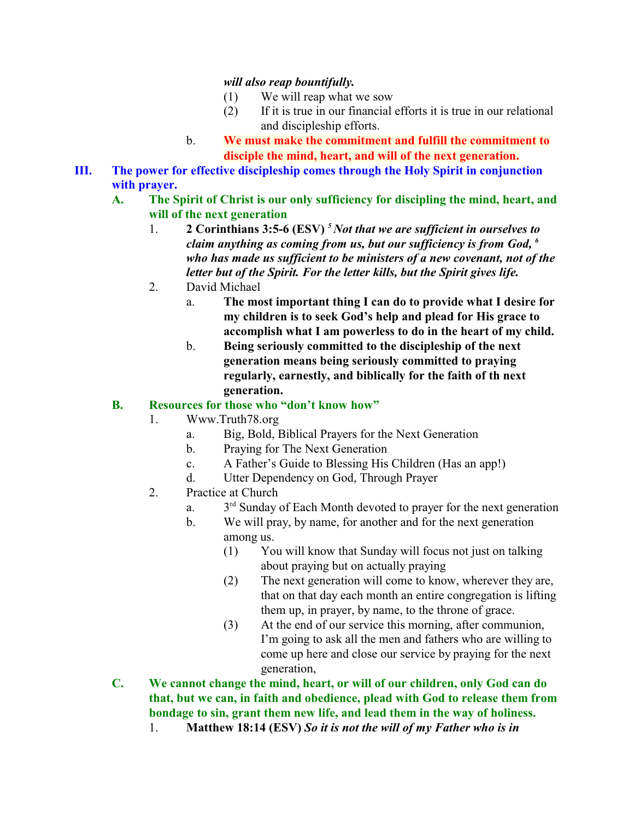#### *will also reap bountifully.*

- (1) We will reap what we sow
- (2) If it is true in our financial efforts it is true in our relational and discipleship efforts.
- b. **We must make the commitment and fulfill the commitment to disciple the mind, heart, and will of the next generation.**
- **III. The power for effective discipleship comes through the Holy Spirit in conjunction with prayer.**
	- **A. The Spirit of Christ is our only sufficiency for discipling the mind, heart, and will of the next generation**
		- 1. **2 Corinthians 3:5-6 (ESV)** *<sup>5</sup> Not that we are sufficient in ourselves to claim anything as coming from us, but our sufficiency is from God, <sup>6</sup> who has made us sufficient to be ministers of a new covenant, not of the letter but of the Spirit. For the letter kills, but the Spirit gives life.*
		- 2. David Michael
			- a. **The most important thing I can do to provide what I desire for my children is to seek God's help and plead for His grace to accomplish what I am powerless to do in the heart of my child.**
			- b. **Being seriously committed to the discipleship of the next generation means being seriously committed to praying regularly, earnestly, and biblically for the faith of th next generation.**

### **B. Resources for those who "don't know how"**

- 1. Www.Truth78.org
	- a. Big, Bold, Biblical Prayers for the Next Generation
	- b. Praying for The Next Generation
	- c. A Father's Guide to Blessing His Children (Has an app!)
	- d. Utter Dependency on God, Through Prayer
- 2. Practice at Church
	- a. <sup>rd</sup> Sunday of Each Month devoted to prayer for the next generation
	- b. We will pray, by name, for another and for the next generation among us.
		- (1) You will know that Sunday will focus not just on talking about praying but on actually praying
		- (2) The next generation will come to know, wherever they are, that on that day each month an entire congregation is lifting them up, in prayer, by name, to the throne of grace.
		- (3) At the end of our service this morning, after communion, I'm going to ask all the men and fathers who are willing to come up here and close our service by praying for the next generation,
- **C. We cannot change the mind, heart, or will of our children, only God can do that, but we can, in faith and obedience, plead with God to release them from bondage to sin, grant them new life, and lead them in the way of holiness.**
	- 1. **Matthew 18:14 (ESV)** *So it is not the will of my Father who is in*